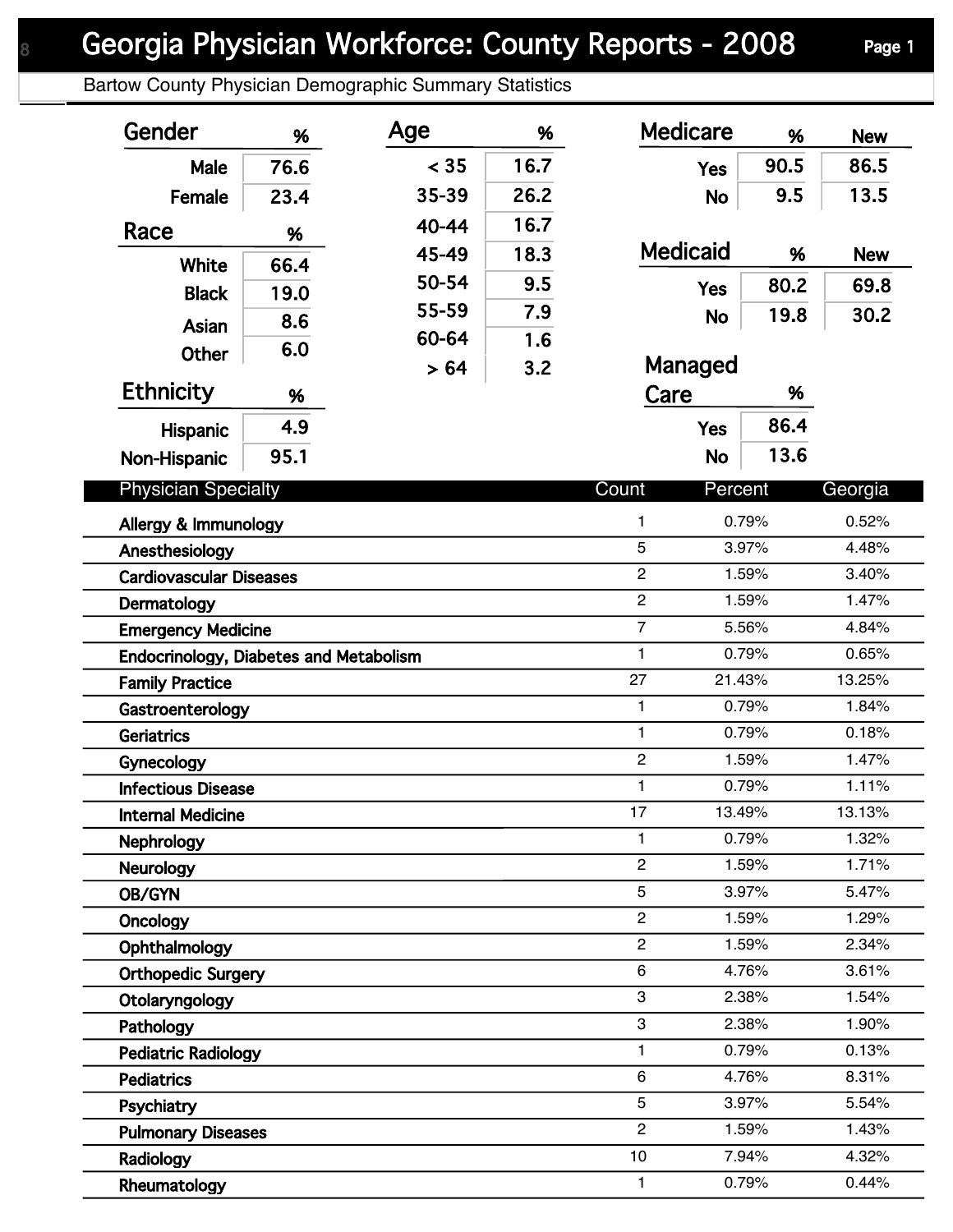## Georgia Physician Workforce: County Reports - 2008 Page 1

Bartow County Physician Demographic Summary Statistics

| Gender                                        | %    | Age            | %              | <b>Medicare</b>  | %     | <b>New</b> |
|-----------------------------------------------|------|----------------|----------------|------------------|-------|------------|
| Male                                          | 76.6 | < 35           | 16.7           | <b>Yes</b>       | 90.5  | 86.5       |
| Female                                        | 23.4 | 35-39          | 26.2           | <b>No</b>        | 9.5   | 13.5       |
| Race                                          | %    | 40-44          | 16.7           |                  |       |            |
| White                                         |      | 45-49          | 18.3           | <b>Medicaid</b>  | %     | <b>New</b> |
|                                               | 66.4 | 50-54          | 9.5            | <b>Yes</b>       | 80.2  | 69.8       |
| <b>Black</b>                                  | 19.0 | 55-59          | 7.9            | <b>No</b>        | 19.8  | 30.2       |
| Asian                                         | 8.6  | 60-64          | 1.6            |                  |       |            |
| <b>Other</b>                                  | 6.0  | > 64           | 3.2            | Managed          |       |            |
| <b>Ethnicity</b>                              | %    |                |                | Care<br>%        |       |            |
| <b>Hispanic</b>                               | 4.9  |                |                | <b>Yes</b>       | 86.4  |            |
| Non-Hispanic                                  | 95.1 |                |                | <b>No</b>        | 13.6  |            |
| <b>Physician Specialty</b>                    |      |                |                | Count<br>Percent |       | Georgia    |
| Allergy & Immunology                          |      |                |                | 1                | 0.79% | 0.52%      |
| Anesthesiology                                |      |                | 5              | 3.97%            | 4.48% |            |
| <b>Cardiovascular Diseases</b>                |      |                | $\overline{c}$ | 1.59%            | 3.40% |            |
| Dermatology                                   |      |                |                | $\overline{c}$   | 1.59% | 1.47%      |
| <b>Emergency Medicine</b>                     |      |                | $\overline{7}$ | 5.56%            | 4.84% |            |
| <b>Endocrinology, Diabetes and Metabolism</b> |      |                |                | $\mathbf{1}$     | 0.79% | 0.65%      |
| <b>Family Practice</b>                        |      |                |                | 27<br>21.43%     |       | 13.25%     |
| Gastroenterology                              |      |                | 1              | 0.79%            | 1.84% |            |
| Geriatrics                                    |      |                | $\mathbf{1}$   | 0.79%            | 0.18% |            |
| Gynecology                                    |      |                |                | $\overline{2}$   | 1.59% | 1.47%      |
| <b>Infectious Disease</b>                     |      |                | 1              | 0.79%            | 1.11% |            |
| <b>Internal Medicine</b>                      |      |                |                | 17<br>13.49%     |       | 13.13%     |
| Nephrology                                    |      |                |                | 1                | 0.79% | 1.32%      |
| <b>Neurology</b>                              |      | $\overline{c}$ | 1.59%          | 1.71%            |       |            |
| OB/GYN                                        |      | 5              | 3.97%          | 5.47%            |       |            |
| Oncology                                      |      |                |                | $\overline{2}$   | 1.59% | 1.29%      |
| Ophthalmology                                 |      |                |                | $\overline{2}$   | 1.59% | 2.34%      |
| <b>Orthopedic Surgery</b>                     |      |                |                | 6                | 4.76% | 3.61%      |
| Otolaryngology                                |      |                |                | 3                | 2.38% | 1.54%      |
| Pathology                                     |      |                |                | 3                | 2.38% | 1.90%      |
| <b>Pediatric Radiology</b>                    |      |                |                | 1                | 0.79% | 0.13%      |
| <b>Pediatrics</b>                             |      |                |                | 6                | 4.76% | 8.31%      |
| Psychiatry                                    |      |                |                | 5                | 3.97% | 5.54%      |
| <b>Pulmonary Diseases</b>                     |      |                |                | $\overline{2}$   | 1.59% | 1.43%      |
| Radiology                                     |      |                |                | $10$             | 7.94% | 4.32%      |
| Rheumatology                                  |      |                |                | 1.               | 0.79% | 0.44%      |